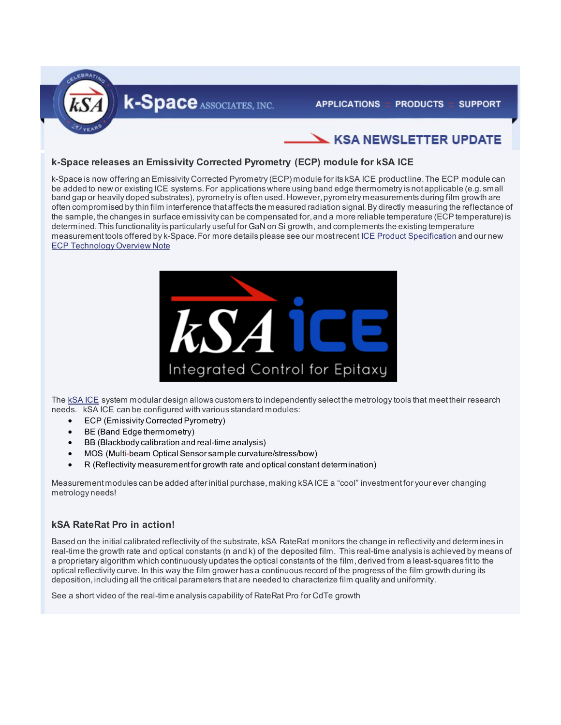

## **KSA NEWSLETTER UPDATE**

### **k-Space releases an Emissivity Corrected Pyrometry (ECP) module for kSA ICE**

k-Space is now offering an Emissivity Corrected Pyrometry (ECP) module for its kSA ICE product line. The ECP module can be added to new or existing ICE systems. For applications where using band edge thermometry is not applicable (e.g. small band gap or heavily doped substrates), pyrometry is often used. However, pyrometry measurements during film growth are often compromised by thin film interference that affects the measured radiation signal. By directly measuring the reflectance of the sample, the changes in surface emissivity can be compensated for, and a more reliable temperature (ECP temperature) is determined. This functionality is particularly useful for GaN on Si growth, and complements the existing temperature measurement tools offered by k-Space. For more details please see our most recen[t ICE Product Specification](http://k-space.com/wp-content/uploads/kSA-ICE-Product-Specifications-May-2014.pdf) and our new [ECP Technology Overview Note](http://k-space.com/wp-content/uploads/kSA-ECP-Technology-Note-May-2014.pdf) 



The [kSA ICE](http://k-space.com/products/ksa-ice/) system modular design allows customers to independently select the metrology tools that meet their research needs. kSA ICE can be configured with various standard modules:

- ECP (Emissivity Corrected Pyrometry)
- BE (Band Edge thermometry)
- BB (Blackbody calibration and real-time analysis)
- MOS (Multi-beam Optical Sensor sample curvature/stress/bow)
- R (Reflectivity measurement for growth rate and optical constant determination)

Measurement modules can be added after initial purchase, making kSA ICE a "cool" investment for your ever changing metrology needs!

#### **kSA RateRat Pro in action!**

Based on the initial calibrated reflectivity of the substrate, kSA RateRat monitors the change in reflectivity and determines in real-time the growth rate and optical constants (n and k) of the deposited film. This real-time analysis is achieved by means of a proprietary algorithm which continuously updates the optical constants of the film, derived from a least-squares fit to the optical reflectivity curve. In this way the film grower has a continuous record of the progress of the film growth during its deposition, including all the critical parameters that are needed to characterize film quality and uniformity.

See a short video of the real-time analysis capability of RateRat Pro for CdTe growth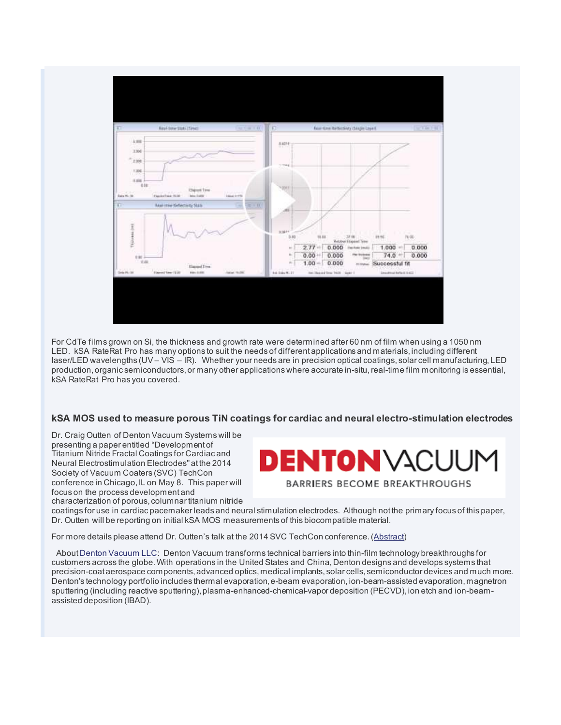

For CdTe films grown on Si, the thickness and growth rate were determined after 60 nm of film when using a 1050 nm LED. kSA RateRat Pro has many options to suit the needs of different applications and materials, including different laser/LED wavelengths (UV – VIS – IR). Whether your needs are in precision optical coatings, solar cell manufacturing, LED production, organic semiconductors, or many other applications where accurate in-situ, real-time film monitoring is essential, kSA RateRat Pro has you covered.

#### **kSA MOS used to measure porous TiN coatings for cardiac and neural electro-stimulation electrodes**

Dr. Craig Outten of Denton Vacuum Systems will be presenting a paper entitled "Development of Titanium Nitride Fractal Coatings for Cardiac and Neural Electrostimulation Electrodes" at the 2014 Society of Vacuum Coaters (SVC) TechCon conference in Chicago, IL on May 8. This paper will focus on the process development and characterization of porous, columnar titanium nitride

# DENTON VACUUM **BARRIERS BECOME BREAKTHROUGHS**

coatings for use in cardiac pacemaker leads and neural stimulation electrodes. Although not the primary focus of this paper, Dr. Outten will be reporting on initial kSA MOS measurements of this biocompatible material.

For more details please attend Dr. Outten's talk at the 2014 SVC TechCon conference. [\(Abstract\)](http://s36.a2zinc.net/clients/SVC/techcon2014/public/SessionDetails.aspx?FromPage=Sessions.aspx&SessionID=1509&SessionDateID=378)

Abou[t Denton Vacuum LLC:](http://www.dentonvacuum.com/) Denton Vacuum transforms technical barriers into thin-film technology breakthroughs for customers across the globe. With operations in the United States and China, Denton designs and develops systems that precision-coat aerospace components, advanced optics, medical implants, solar cells, semiconductor devices and much more. Denton's technology portfolio includes thermal evaporation, e-beam evaporation, ion-beam-assisted evaporation, magnetron sputtering (including reactive sputtering), plasma-enhanced-chemical-vapor deposition (PECVD), ion etch and ion-beamassisted deposition (IBAD).